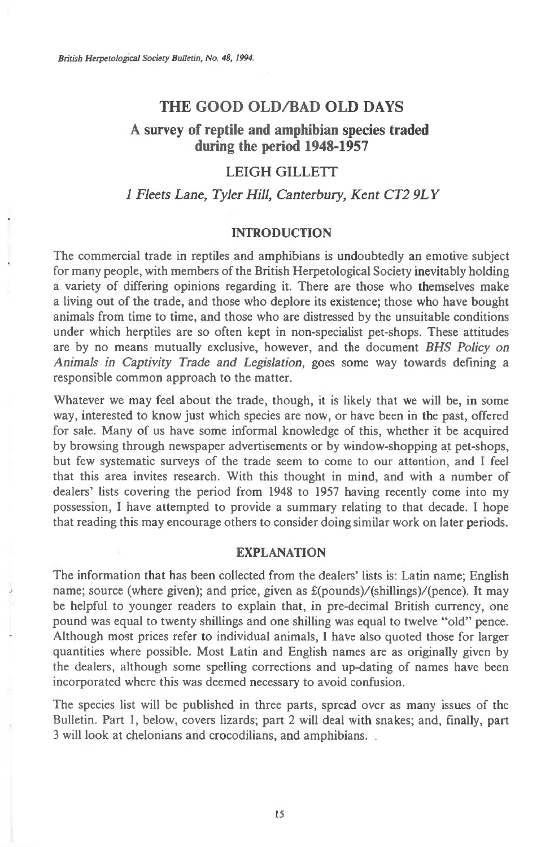### **THE GOOD OLD/BAD OLD DAYS**

# **A survey of reptile and amphibian species traded during the period 1948-1957**

### LEIGH GILLETT

## *1 Fleets Lane, Tyler Hill, Canterbury, Kent CT2 9LY*

#### **INTRODUCTION**

The commercial trade in reptiles and amphibians is undoubtedly an emotive subject for many people, with members of the British Herpetological Society inevitably holding a variety of differing opinions regarding it. There are those who themselves make a living out of the trade, and those who deplore its existence; those who have bought animals from time to time, and those who are distressed by the unsuitable conditions under which herptiles are so often kept in non-specialist pet-shops. These attitudes are by no means mutually exclusive, however, and the document *BHS Policy on Animals in Captivity Trade and Legislation,* goes some way towards defining a responsible common approach to the matter.

Whatever we may feel about the trade, though, it is likely that we will be, in some way, interested to know just which species are now, or have been in the past, offered for sale. Many of us have some informal knowledge of this, whether it be acquired by browsing through newspaper advertisements or by window-shopping at pet-shops, but few systematic surveys of the trade seem to come to our attention, and I feel that this area invites research. With this thought in mind, and with a number of dealers' lists covering the period from 1948 to 1957 having recently come into my possession, I have attempted to provide a summary relating to that decade. I hope that reading this may encourage others to consider doing similar work on later periods.

#### **EXPLANATION**

The information that has been collected from the dealers' lists is: Latin name; English name; source (where given); and price, given as £(pounds)/(shillings)/(pence). It may be helpful to younger readers to explain that, in pre-decimal British currency, one pound was equal to twenty shillings and one shilling was equal to twelve "old" pence. Although most prices refer to individual animals, I have also quoted those for larger quantities where possible. Most Latin and English names are as originally given by the dealers, although some spelling corrections and up-dating of names have been incorporated where this was deemed necessary to avoid confusion.

The species list will be published in three parts, spread over as many issues of the Bulletin. Part 1, below, covers lizards; part 2 will deal with snakes; and, finally, part 3 will look at chelonians and crocodilians, and amphibians. .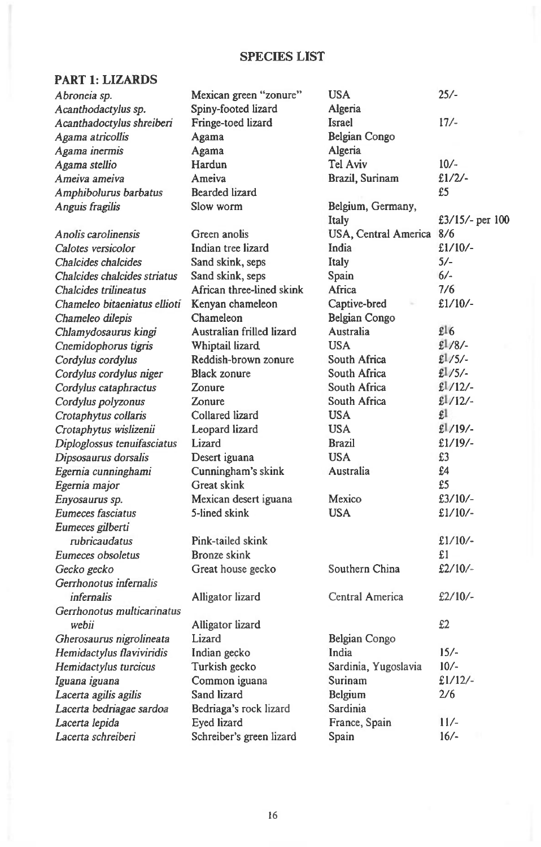## **SPECIES LIST**

# **PART 1: LIZARDS**

| Abroneia sp.                 | Mexican green "zonure"    | <b>USA</b>           | $25/-$            |
|------------------------------|---------------------------|----------------------|-------------------|
| Acanthodactylus sp.          | Spiny-footed lizard       | Algeria              |                   |
| Acanthadoctylus shreiberi    | Fringe-toed lizard        | Israel               | $17/-$            |
| Agama atricollis             | Agama                     | Belgian Congo        |                   |
| Agama inermis                | Agama                     | Algeria              |                   |
| Agama stellio                | Hardun                    | Tel Aviv             | $10/-$            |
| Ameiva ameiva                | Ameiva                    | Brazil, Surinam      | £1/2/             |
| Amphibolurus barbatus        | <b>Bearded lizard</b>     |                      | £5                |
| Anguis fragilis              | Slow worm                 | Belgium, Germany,    |                   |
|                              |                           | Italy                | £3/15/- per $100$ |
| Anolis carolinensis          | Green anolis              | USA, Central America | 8/6               |
| Calotes versicolor           | Indian tree lizard        | India                | $£1/10/-$         |
| Chalcides chalcides          | Sand skink, seps          | Italy                | $5/-$             |
| Chalcides chalcides striatus | Sand skink, seps          | Spain                | $6/-$             |
| Chalcides trilineatus        | African three-lined skink | Africa               | 7/6               |
| Chameleo bitaeniatus ellioti | Kenyan chameleon          | Captive-bred         | £1/10/            |
| Chameleo dilepis             | Chameleon                 | Belgian Congo        |                   |
| Chlamydosaurus kingi         | Australian frilled lizard | Australia            | £16               |
| Cnemidophorus tigris         | Whiptail lizard           | <b>USA</b>           | $£1/8/$ -         |
| Cordylus cordylus            | Reddish-brown zonure      | South Africa         | $£1/5/-$          |
| Cordylus cordylus niger      | <b>Black zonure</b>       | South Africa         | $£1/5/-.$         |
| Cordylus cataphractus        | Zonure                    | South Africa         | £1/12/            |
| Cordylus polyzonus           | Zonure                    | South Africa         | £1/12/            |
| Crotaphytus collaris         | Collared lizard           | <b>USA</b>           | £l                |
| Crotaphytus wislizenii       | Leopard lizard            | <b>USA</b>           | £1/19/            |
| Diploglossus tenuifasciatus  | Lizard                    | <b>Brazil</b>        | $£1/19/-.$        |
| Dipsosaurus dorsalis         | Desert iguana             | <b>USA</b>           | £3                |
| Egernia cunninghami          | Cunningham's skink        | Australia            | £4                |
| Egernia major                | Great skink               |                      | £5                |
| Enyosaurus sp.               | Mexican desert iguana     | Mexico               | £3/10/-           |
| Eumeces fasciatus            | 5-lined skink             | <b>USA</b>           | $£1/10/-$         |
| Eumeces gilberti             |                           |                      |                   |
| rubricaudatus                | Pink-tailed skink         |                      | $£1/10/-$         |
| Eumeces obsoletus            | Bronze skink              |                      | £1                |
| Gecko gecko                  | Great house gecko         | Southern China       | $£2/10/-$         |
| Gerrhonotus infernalis       |                           |                      |                   |
| infernalis                   | Alligator lizard          | Central America      | $£2/10/-$         |
| Gerrhonotus multicarinatus   |                           |                      |                   |
| webii                        | Alligator lizard          |                      | £2                |
| Gherosaurus nigrolineata     | Lizard                    | Belgian Congo        |                   |
| Hemidactylus flaviviridis    | Indian gecko              | India                | $15/-$            |
| Hemidactylus turcicus        | Turkish gecko             | Sardinia, Yugoslavia | $10/-$            |
| Iguana iguana                | Common iguana             | Surinam              | $£1/12/-$         |
| Lacerta agilis agilis        | Sand lizard               | Belgium              | 2/6               |
| Lacerta bedriagae sardoa     | Bedriaga's rock lizard    | Sardinia             |                   |
| Lacerta lepida               | Eyed lizard               | France, Spain        | $11/-$            |
| Lacerta schreiberi           | Schreiber's green lizard  | Spain                | $16/-$            |